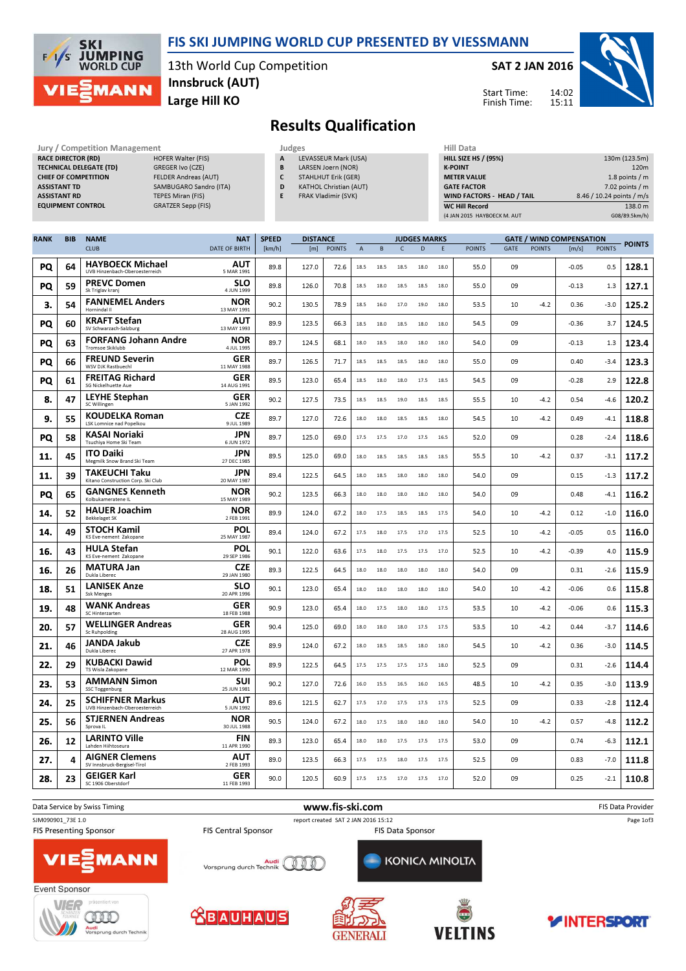

### FIS SKI JUMPING WORLD CUP PRESENTED BY VIESSMANN

13th World Cup Competition Large Hill KO Innsbruck (AUT)

#### SAT 2 JAN 2016

Start Time: Finish Time:



# Results Qualification

RACE DIRECTOR (RD) TECHNICAL DELEGATE (TD) GREGER Ivo (CZE) ASSISTANT RD TEPES Miran (FIS)

Jury / Competition Management Judges<br>
RACE DIRECTOR (RD) HOFER Walter (FIS) A LE CHIEF OF COMPETITION FELDER Andreas (AUT) ASSISTANT TD SAMBUGARO Sandro (ITA) EQUIPMENT CONTROL GRATZER Sepp (FIS)

- LEVASSEUR Mark (USA)
- B LARSEN Joern (NOR) C STAHLHUT Erik (GER)
- D KATHOL Christian (AUT)
- E FRAK Vladimir (SVK)

| Hill Data                         |                           |
|-----------------------------------|---------------------------|
| <b>HILL SIZE HS / (95%)</b>       | 130m (123.5m)             |
| <b>K-POINT</b>                    | 120 <sub>m</sub>          |
| <b>METER VALUE</b>                | 1.8 points $/m$           |
| <b>GATE FACTOR</b>                | $7.02$ points / m         |
| <b>WIND FACTORS - HEAD / TAIL</b> | 8.46 / 10.24 points / m/s |
| <b>WC Hill Record</b>             | 138.0 m                   |
| (4 JAN 2015 HAYBOECK M. AUT       | G08/89.5km/h)             |

| <b>RANK</b> | <b>BIB</b> | <b>NAME</b>                                               | <b>NAT</b>                | <b>SPEED</b><br><b>DISTANCE</b> |       |               |             | <b>JUDGES MARKS</b> |              |      |      | <b>GATE / WIND COMPENSATION</b> |      |               |         |               |               |
|-------------|------------|-----------------------------------------------------------|---------------------------|---------------------------------|-------|---------------|-------------|---------------------|--------------|------|------|---------------------------------|------|---------------|---------|---------------|---------------|
|             |            | <b>CLUB</b>                                               | <b>DATE OF BIRTH</b>      | [km/h]                          | [m]   | <b>POINTS</b> | $\mathsf A$ | $\,$ B              | $\mathsf{C}$ | D    | E    | <b>POINTS</b>                   | GATE | <b>POINTS</b> | [m/s]   | <b>POINTS</b> | <b>POINTS</b> |
| PQ          | 64         | <b>HAYBOECK Michael</b><br>UVB Hinzenbach-Oberoesterreich | <b>AUT</b><br>5 MAR 1991  | 89.8                            | 127.0 | 72.6          | 18.5        | 18.5                | 18.5         | 18.0 | 18.0 | 55.0                            | 09   |               | $-0.05$ | 0.5           | 128.1         |
| PQ          | 59         | <b>PREVC Domen</b><br>Sk Triglav kranj                    | <b>SLO</b><br>4 JUN 1999  | 89.8                            | 126.0 | 70.8          | 18.5        | 18.0                | 18.5         | 18.5 | 18.0 | 55.0                            | 09   |               | $-0.13$ | 1.3           | 127.1         |
| 3.          | 54         | <b>FANNEMEL Anders</b><br>Hornindal II                    | <b>NOR</b><br>13 MAY 1991 | 90.2                            | 130.5 | 78.9          | 18.5        | 16.0                | 17.0         | 19.0 | 18.0 | 53.5                            | 10   | $-4.2$        | 0.36    | $-3.0$        | 125.2         |
| PQ          | 60         | <b>KRAFT Stefan</b><br>SV Schwarzach-Salzburg             | <b>AUT</b><br>13 MAY 1993 | 89.9                            | 123.5 | 66.3          | 18.5        | 18.0                | 18.5         | 18.0 | 18.0 | 54.5                            | 09   |               | -0.36   | 3.7           | 124.5         |
| PQ          | 63         | <b>FORFANG Johann Andre</b><br>Tromsoe Skiklubb           | <b>NOR</b><br>4 JUL 1995  | 89.7                            | 124.5 | 68.1          | 18.0        | 18.5                | 18.0         | 18.0 | 18.0 | 54.0                            | 09   |               | $-0.13$ | 1.3           | 123.4         |
| PQ          | 66         | <b>FREUND Severin</b><br>WSV DJK Rastbuechl               | GER<br>11 MAY 1988        | 89.7                            | 126.5 | 71.7          | 18.5        | 18.5                | 18.5         | 18.0 | 18.0 | 55.0                            | 09   |               | 0.40    | $-3.4$        | 123.3         |
| PQ          | 61         | <b>FREITAG Richard</b><br>SG Nickelhuette Aue             | GER<br>14 AUG 1991        | 89.5                            | 123.0 | 65.4          | 18.5        | 18.0                | 18.0         | 17.5 | 18.5 | 54.5                            | 09   |               | $-0.28$ | 2.9           | 122.8         |
| 8.          | 47         | LEYHE Stephan<br>SC Willingen                             | GER<br>5 JAN 1992         | 90.2                            | 127.5 | 73.5          | 18.5        | 18.5                | 19.0         | 18.5 | 18.5 | 55.5                            | 10   | $-4.2$        | 0.54    | $-4.6$        | 120.2         |
| 9.          | 55         | <b>KOUDELKA Roman</b><br>LSK Lomnice nad Popelkou         | <b>CZE</b><br>9 JUL 1989  | 89.7                            | 127.0 | 72.6          | 18.0        | 18.0                | 18.5         | 18.5 | 18.0 | 54.5                            | 10   | $-4.2$        | 0.49    | $-4.1$        | 118.8         |
| PQ          | 58         | KASAI Noriaki<br>Tsuchiya Home Ski Team                   | <b>JPN</b><br>6 JUN 1972  | 89.7                            | 125.0 | 69.0          | 17.5        | 17.5                | 17.0         | 17.5 | 16.5 | 52.0                            | 09   |               | 0.28    | $-2.4$        | 118.6         |
| 11.         | 45         | <b>ITO Daiki</b><br>Megmilk Snow Brand Ski Team           | <b>JPN</b><br>27 DEC 1985 | 89.5                            | 125.0 | 69.0          | 18.0        | 18.5                | 18.5         | 18.5 | 18.5 | 55.5                            | 10   | $-4.2$        | 0.37    | $-3.1$        | 117.2         |
| 11.         | 39         | TAKEUCHI Taku<br>Kitano Construction Corp. Ski Club       | <b>JPN</b><br>20 MAY 1987 | 89.4                            | 122.5 | 64.5          | 18.0        | 18.5                | 18.0         | 18.0 | 18.0 | 54.0                            | 09   |               | 0.15    | $-1.3$        | 117.2         |
| PQ          | 65         | <b>GANGNES Kenneth</b><br>Kolbukameratene IL              | <b>NOR</b><br>15 MAY 1989 | 90.2                            | 123.5 | 66.3          | 18.0        | 18.0                | 18.0         | 18.0 | 18.0 | 54.0                            | 09   |               | 0.48    | $-4.1$        | 116.2         |
| 14.         | 52         | <b>HAUER Joachim</b><br><b>Bekkelaget SK</b>              | <b>NOR</b><br>2 FEB 1991  | 89.9                            | 124.0 | 67.2          | 18.0        | 17.5                | 18.5         | 18.5 | 17.5 | 54.0                            | 10   | $-4.2$        | 0.12    | $-1.0$        | 116.0         |
| 14.         | 49         | <b>STOCH Kamil</b><br>KS Eve-nement Zakopane              | POL<br>25 MAY 1987        | 89.4                            | 124.0 | 67.2          | 17.5        | 18.0                | 17.5         | 17.0 | 17.5 | 52.5                            | 10   | $-4.2$        | $-0.05$ | 0.5           | 116.0         |
| 16.         | 43         | <b>HULA Stefan</b><br>KS Eve-nement Zakopane              | POL<br>29 SEP 1986        | 90.1                            | 122.0 | 63.6          | 17.5        | 18.0                | 17.5         | 17.5 | 17.0 | 52.5                            | 10   | -4.2          | -0.39   | 4.0           | 115.9         |
| 16.         | 26         | <b>MATURA Jan</b><br>Dukla Liberec                        | <b>CZE</b><br>29 JAN 1980 | 89.3                            | 122.5 | 64.5          | 18.0        | 18.0                | 18.0         | 18.0 | 18.0 | 54.0                            | 09   |               | 0.31    | $-2.6$        | 115.9         |
| 18.         | 51         | <b>LANISEK Anze</b><br><b>Ssk Menges</b>                  | <b>SLO</b><br>20 APR 1996 | 90.1                            | 123.0 | 65.4          | 18.0        | 18.0                | 18.0         | 18.0 | 18.0 | 54.0                            | 10   | $-4.2$        | $-0.06$ | 0.6           | 115.8         |
| 19.         | 48         | <b>WANK Andreas</b><br>SC Hinterzarten                    | GER<br>18 FEB 1988        | 90.9                            | 123.0 | 654           | 18.0        | 17.5                | 18.0         | 18.0 | 17.5 | 53.5                            | 10   | $-4.2$        | $-0.06$ | 0.6           | 115.3         |
| 20.         | 57         | <b>WELLINGER Andreas</b><br>Sc Ruhpolding                 | GER<br>28 AUG 1995        | 90.4                            | 125.0 | 69.0          | 18.0        | 18.0                | 18.0         | 17.5 | 17.5 | 53.5                            | 10   | $-4.2$        | 0.44    | $-3.7$        | 114.6         |
| 21.         | 46         | JANDA Jakub<br>Dukla Liberec                              | <b>CZE</b><br>27 APR 1978 | 89.9                            | 124.0 | 67.2          | 18.0        | 18.5                | 18.5         | 18.0 | 18.0 | 54.5                            | 10   | $-4.2$        | 0.36    | $-3.0$        | 114.5         |
| 22.         | 29         | KUBACKI Dawid<br>TS Wisla Zakopane                        | POL<br>12 MAR 1990        | 89.9                            | 122.5 | 64.5          | 17.5        | 17.5                | 17.5         | 17.5 | 18.0 | 52.5                            | 09   |               | 0.31    | $-2.6$        | 114.4         |
| 23.         | 53         | <b>AMMANN Simon</b><br>SSC Toggenburg                     | SUI<br>25 JUN 1981        | 90.2                            | 127.0 | 72.6          | 16.0        | 15.5                | 16.5         | 16.0 | 16.5 | 48.5                            | 10   | $-4.2$        | 0.35    | $-3.0$        | 113.9         |
| 24.         | 25         | <b>SCHIFFNER Markus</b><br>UVB Hinzenbach-Oberoesterreich | AUT<br>5 JUN 1992         | 89.6                            | 121.5 | 62.7          | 17.5        | 17.0                | 17.5         | 17.5 | 17.5 | 52.5                            | 09   |               | 0.33    | $-2.8$        | 112.4         |
| 25.         | 56         | <b>STJERNEN Andreas</b><br>Sprova IL                      | NOR<br>30 JUL 1988        | 90.5                            | 124.0 | 67.2          | 18.0        | 17.5                | 18.0         | 18.0 | 18.0 | 54.0                            | 10   | $-4.2$        | 0.57    | $-4.8$        | 112.2         |
| 26.         | 12         | <b>LARINTO Ville</b><br>Lahden Hiihtoseura                | <b>FIN</b><br>11 APR 1990 | 89.3                            | 123.0 | 65.4          | 18.0        | 18.0                | 17.5         | 17.5 | 17.5 | 53.0                            | 09   |               | 0.74    | $-6.3$        | 112.1         |
| 27.         | 4          | <b>AIGNER Clemens</b><br>SV Innsbruck-Bergisel-Tirol      | <b>AUT</b><br>2 FEB 1993  | 89.0                            | 123.5 | 66.3          | 17.5        | 17.5                | 18.0         | 17.5 | 17.5 | 52.5                            | 09   |               | 0.83    | $-7.0$        | 111.8         |
| 28.         | 23         | <b>GEIGER Karl</b><br>SC 1906 Oberstdorf                  | GER<br>11 FEB 1993        | 90.0                            | 120.5 | 60.9          | 17.5        | 17.5                | 17.0         | 17.5 | 17.0 | 52.0                            | 09   |               | 0.25    | $-2.1$        | 110.8         |











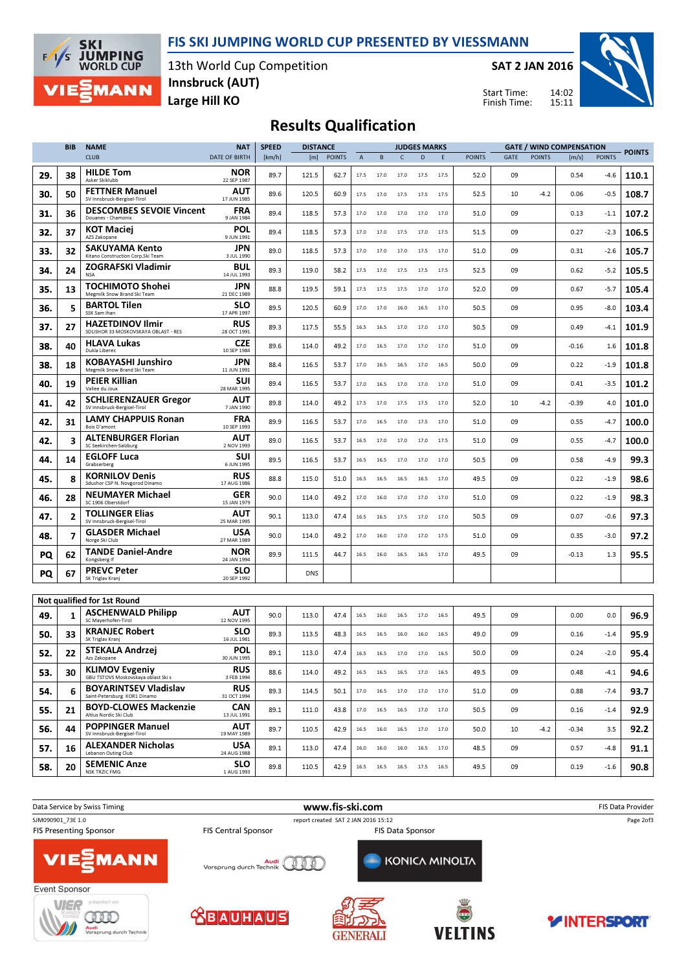## FIS SKI JUMPING WORLD CUP PRESENTED BY VIESSMANN



13th World Cup Competition Large Hill KO Innsbruck (AUT)

SAT 2 JAN 2016

Start Time: Finish Time:



## Results Qualification

|     | <b>BIB</b> | <b>NAME</b>                                                         | <b>NAT</b>                | <b>SPEED</b><br><b>DISTANCE</b> |            |               | <b>JUDGES MARKS</b> |              |              |              |              |               |             |               |         | <b>GATE / WIND COMPENSATION</b> |               |
|-----|------------|---------------------------------------------------------------------|---------------------------|---------------------------------|------------|---------------|---------------------|--------------|--------------|--------------|--------------|---------------|-------------|---------------|---------|---------------------------------|---------------|
|     |            | <b>CLUB</b>                                                         | <b>DATE OF BIRTH</b>      | [km/h]                          | [m]        | <b>POINTS</b> | $\overline{A}$      | $\sf{B}$     | $\mathsf{C}$ | D            | E            | <b>POINTS</b> | <b>GATE</b> | <b>POINTS</b> | [m/s]   | <b>POINTS</b>                   | <b>POINTS</b> |
| 29. | 38         | <b>HILDE Tom</b><br>Asker Skiklubb                                  | NOR<br>22 SEP 1987        | 89.7                            | 121.5      | 62.7          | 17.5                | 17.0         | 17.0         | 17.5         | 17.5         | 52.0          | 09          |               | 0.54    | $-4.6$                          | 110.1         |
| 30. | 50         | <b>FETTNER Manuel</b><br>SV Innsbruck-Bergisel-Tirol                | AUT<br>17 JUN 1985        | 89.6                            | 120.5      | 60.9          | 17.5                | 17.0         | 17.5         | 17.5         | 17.5         | 52.5          | 10          | -4.2          | 0.06    | $-0.5$                          | 108.7         |
| 31. | 36         | <b>DESCOMBES SEVOIE Vincent</b><br>Douanes - Chamonix               | <b>FRA</b><br>9 JAN 1984  | 89.4                            | 118.5      | 57.3          | 17.0                | 17.0         | 17.0         | 17.0         | 17.0         | 51.0          | 09          |               | 0.13    | $-1.1$                          | 107.2         |
| 32. | 37         | <b>KOT Maciei</b><br>AZS Zakopane                                   | POL<br>9 JUN 1991         | 89.4                            | 118.5      | 57.3          | 17.0                | 17.0         | 17.5         | 17.0         | 17.5         | 51.5          | 09          |               | 0.27    | $-2.3$                          | 106.5         |
| 33. | 32         | SAKUYAMA Kento<br>Kitano Construction Corp.Ski Team                 | JPN<br>3 JUL 1990         | 89.0                            | 118.5      | 57.3          | 17.0                | 17.0         | 17.0         | 17.5         | 17.0         | 51.0          | 09          |               | 0.31    | $-2.6$                          | 105.7         |
| 34. | 24         | <b>ZOGRAFSKI Vladimir</b><br><b>NSA</b>                             | BUL<br>14 JUL 1993        | 89.3                            | 119.0      | 58.2          | 17.5                | 17.0         | 17.5         | 17.5         | 17.5         | 52.5          | 09          |               | 0.62    | $-5.2$                          | 105.5         |
| 35. | 13         | <b>TOCHIMOTO Shohei</b><br>Megmilk Snow Brand Ski Team              | jpn<br>21 DEC 1989        | 88.8                            | 119.5      | 59.1          | 17.5                | 17.5         | 17.5         | 17.0         | 17.0         | 52.0          | 09          |               | 0.67    | $-5.7$                          | 105.4         |
| 36. | 5          | <b>BARTOL Tilen</b><br>SSK Sam Ihan                                 | <b>SLO</b><br>17 APR 1997 | 89.5                            | 120.5      | 60.9          | 17.0                | 17.0         | 16.0         | 16.5         | 17.0         | 50.5          | 09          |               | 0.95    | $-8.0$                          | 103.4         |
| 37. | 27         | <b>HAZETDINOV Ilmir</b><br>SDUSHOR 33 MOSKOVSKAYA OBLAST - RES      | RUS<br>28 OCT 1991        | 89.3                            | 117.5      | 55.5          | 16.5                | 16.5         | 17.0         | 17.0         | 17.0         | 50.5          | 09          |               | 0.49    | $-4.1$                          | 101.9         |
| 38. | 40         | <b>HLAVA Lukas</b><br>Dukla Liberec                                 | <b>CZE</b><br>10 SEP 1984 | 89.6                            | 114.0      | 49.2          | 17.0                | 16.5         | 17.0         | 17.0         | 17.0         | 51.0          | 09          |               | -0.16   | 1.6                             | 101.8         |
| 38. | 18         | KOBAYASHI Junshiro<br>Megmilk Snow Brand Ski Team                   | JPN<br>11 JUN 1991        | 88.4                            | 116.5      | 53.7          | 17.0                | 16.5         | 16.5         | 17.0         | 16.5         | 50.0          | 09          |               | 0.22    | $-1.9$                          | 101.8         |
| 40. | 19         | <b>PEIER Killian</b><br>Vallee du Joux                              | suı<br>28 MAR 1995        | 89.4                            | 116.5      | 53.7          | 17.0                | 16.5         | 17.0         | 17.0         | 17.0         | 51.0          | 09          |               | 0.41    | $-3.5$                          | 101.2         |
| 41. | 42         | <b>SCHLIERENZAUER Gregor</b><br>SV Innsbruck-Bergisel-Tirol         | AUT<br>7 JAN 1990         | 89.8                            | 114.0      | 49.2          | 17.5                | 17.0         | 17.5         | 17.5         | 17.0         | 52.0          | 10          | $-4.2$        | -0.39   | 4.0                             | 101.0         |
| 42. | 31         | <b>LAMY CHAPPUIS Ronan</b><br>Bois D'amont                          | <b>FRA</b><br>10 SEP 1993 | 89.9                            | 116.5      | 53.7          | 17.0                | 16.5         | 17.0         | 17.5         | 17.0         | 51.0          | 09          |               | 0.55    | $-4.7$                          | 100.0         |
| 42. | 3          | <b>ALTENBURGER Florian</b><br>SC Seekirchen-Salzburg                | AUT<br>2 NOV 1993         | 89.0                            | 116.5      | 53.7          | 16.5                | 17.0         | 17.0         | 17.0         | 17.5         | 51.0          | 09          |               | 0.55    | $-4.7$                          | 100.0         |
| 44. | 14         | <b>EGLOFF Luca</b><br>Grabserberg                                   | SUI<br>6 JUN 1995         | 89.5                            | 116.5      | 53.7          | 16.5                | 16.5         | 17.0         | 17.0         | 17.0         | 50.5          | 09          |               | 0.58    | $-4.9$                          | 99.3          |
| 45. | 8          | <b>KORNILOV Denis</b><br>Sdushor CSP N. Novgorod Dinamo             | RUS<br>17 AUG 1986        | 88.8                            | 115.0      | 51.0          | 16.5                | 16.5         | 16.5         | 16.5         | 17.0         | 49.5          | 09          |               | 0.22    | $-1.9$                          | 98.6          |
| 46. | 28         | <b>NEUMAYER Michael</b><br>SC 1906 Oberstdorf                       | GER<br>15 JAN 1979        | 90.0                            | 114.0      | 49.2          | 17.0                | 16.0         | 17.0         | 17.0         | 17.0         | 51.0          | 09          |               | 0.22    | $-1.9$                          | 98.3          |
| 47. | 2          | <b>TOLLINGER Elias</b><br>SV Innsbruck-Bergisel-Tirol               | <b>AUT</b><br>25 MAR 1995 | 90.1                            | 113.0      | 47.4          | 16.5                | 16.5         | 17.5         | 17.0         | 17.0         | 50.5          | 09          |               | 0.07    | $-0.6$                          | 97.3          |
| 48. | 7          | <b>GLASDER Michael</b><br>Norge Ski Club                            | <b>USA</b><br>27 MAR 1989 | 90.0                            | 114.0      | 49.2          | 17.0                | 16.0         | 17.0         | 17.0         | 17.5         | 51.0          | 09          |               | 0.35    | $-3.0$                          | 97.2          |
| PQ  | 62         | <b>TANDE Daniel-Andre</b><br>Kongsberg If                           | <b>NOR</b><br>24 JAN 1994 | 89.9                            | 111.5      | 44.7          | 16.5                | 16.0         | 16.5         | 16.5         | 17.0         | 49.5          | 09          |               | -0.13   | 1.3                             | 95.5          |
| PQ  | 67         | <b>PREVC Peter</b><br>SK Triglav Kranj                              | <b>SLO</b><br>20 SEP 1992 |                                 | <b>DNS</b> |               |                     |              |              |              |              |               |             |               |         |                                 |               |
|     |            |                                                                     |                           |                                 |            |               |                     |              |              |              |              |               |             |               |         |                                 |               |
|     |            | Not qualified for 1st Round<br><b>ASCHENWALD Philipp</b>            | <b>AUT</b>                |                                 |            |               |                     |              |              |              |              |               |             |               |         |                                 |               |
| 49. | 1          | SC Mayerhofen-Tirol<br><b>KRANJEC Robert</b>                        | 12 NOV 1995<br><b>SLO</b> | 90.0                            | 113.0      | 47.4          | 16.5                | 16.0         | 16.5         | 17.0         | 16.5         | 49.5          | 09          |               | 0.00    | 0.0                             | 96.9          |
| 50. | 33         | SK Triglav Kranj<br><b>STEKALA Andrzej</b>                          | 16 JUL 1981<br>POL        | 89.3                            | 113.5      | 48.3          | $16.5\,$<br>16.5    | 16.5<br>16.5 | 16.0<br>17.0 | 16.0<br>17.0 | 16.5<br>16.5 | 49.0          | 09          |               | 0.16    | $-1.4$                          | 95.9          |
| 52. | 22         | Azs Zakopane<br><b>KLIMOV Evgeniy</b>                               | 30 JUN 1995<br><b>RUS</b> | 89.1                            | 113.0      | 47.4          |                     |              |              |              |              | 50.0          | 09          |               | 0.24    | $-2.0$                          | 95.4          |
| 53. | 30         | GBU TSTOVS Moskovskaya oblast Ski s<br><b>BOYARINTSEV Vladislav</b> | 3 FEB 1994<br><b>RUS</b>  | 88.6                            | 114.0      | 49.2          | 16.5                | 16.5         | 16.5         | 17.0         | 16.5         | 49.5          | 09          |               | 0.48    | $-4.1$                          | 94.6          |
| 54. | 6          | Saint-Petersburg KOR1 Dinamo<br><b>BOYD-CLOWES Mackenzie</b>        | 31 OCT 1994<br><b>CAN</b> | 89.3                            | 114.5      | 50.1          | 17.0                | 16.5         | 17.0         | 17.0         | 17.0         | 51.0          | 09          |               | 0.88    | $-7.4$                          | 93.7          |
| 55. | 21         | Altius Nordic Ski Club<br><b>POPPINGER Manuel</b>                   | 13 JUL 1991<br>AUT        | 89.1                            | 111.0      | 43.8          | 17.0                | 16.5         | 16.5         | 17.0         | 17.0         | 50.5          | 09          |               | 0.16    | $-1.4$                          | 92.9          |
| 56. | 44         | SV Innsbruck-Bergisel-Tirol<br><b>ALEXANDER Nicholas</b>            | 19 MAY 1989<br><b>USA</b> | 89.7                            | 110.5      | 42.9          | 16.5                | 16.0         | 16.5         | 17.0         | 17.0         | 50.0          | 10          | $-4.2$        | $-0.34$ | 3.5                             | 92.2          |
| 57. | 16         | Lebanon Outing Club                                                 | 24 AUG 1988               | 89.1                            | 113.0      | 47.4          | 16.0                | 16.0         | 16.0         | 16.5         | 17.0         | 48.5          | 09          |               | 0.57    | $-4.8$                          | 91.1          |
| 58. | 20         | <b>SEMENIC Anze</b><br>NSK TRZIC FMG                                | <b>SLO</b><br>1 AUG 1993  | 89.8                            | 110.5      | 42.9          | 16.5                | 16.5         | 16.5         | 17.5         | 16.5         | 49.5          | 09          |               | 0.19    | $-1.6$                          | 90.8          |